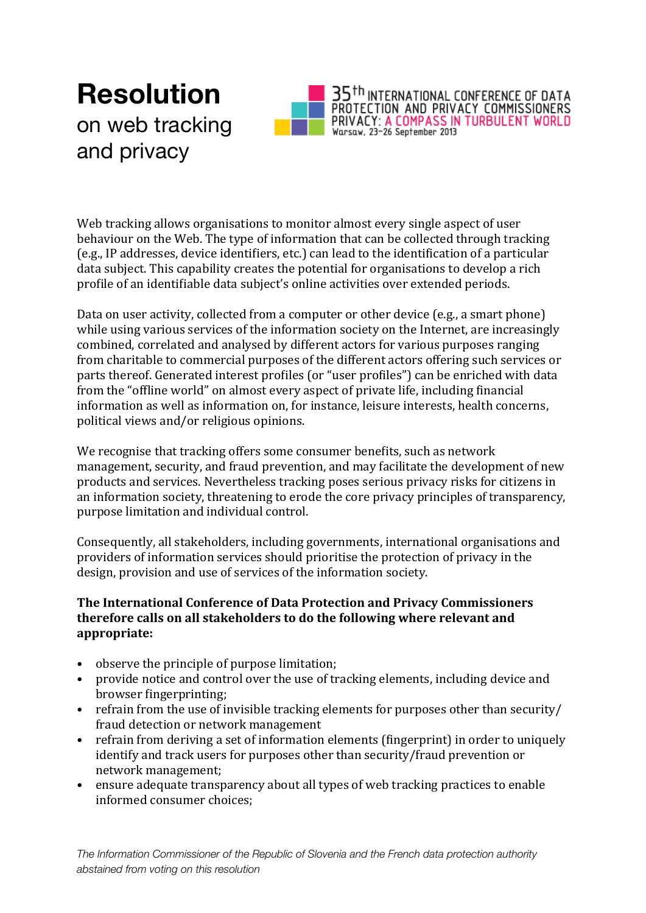## **Resolution** on web tracking and privacy



Web tracking allows organisations to monitor almost every single aspect of user behaviour on the Web. The type of information that can be collected through tracking (e.g., IP addresses, device identifiers, etc.) can lead to the identification of a particular data subject. This capability creates the potential for organisations to develop a rich profile of an identifiable data subject's online activities over extended periods.

Data on user activity, collected from a computer or other device (e.g., a smart phone) while using various services of the information society on the Internet, are increasingly combined, correlated and analysed by different actors for various purposes ranging from charitable to commercial purposes of the different actors offering such services or parts thereof. Generated interest profiles (or "user profiles") can be enriched with data from the "offline world" on almost every aspect of private life, including financial information as well as information on, for instance, leisure interests, health concerns, political views and/or religious opinions.

We recognise that tracking offers some consumer benefits, such as network management, security, and fraud prevention, and may facilitate the development of new products and services. Nevertheless tracking poses serious privacy risks for citizens in an information society, threatening to erode the core privacy principles of transparency, purpose limitation and individual control.

Consequently, all stakeholders, including governments, international organisations and providers of information services should prioritise the protection of privacy in the design, provision and use of services of the information society.

## **The International Conference of Data Protection and Privacy Commissioners therefore calls on all stakeholders to do the following where relevant and appropriate:**

- observe the principle of purpose limitation;
- provide notice and control over the use of tracking elements, including device and browser fingerprinting;
- refrain from the use of invisible tracking elements for purposes other than security/ fraud detection or network management
- refrain from deriving a set of information elements (fingerprint) in order to uniquely identify and track users for purposes other than security/fraud prevention or network management;
- ensure adequate transparency about all types of web tracking practices to enable informed consumer choices;